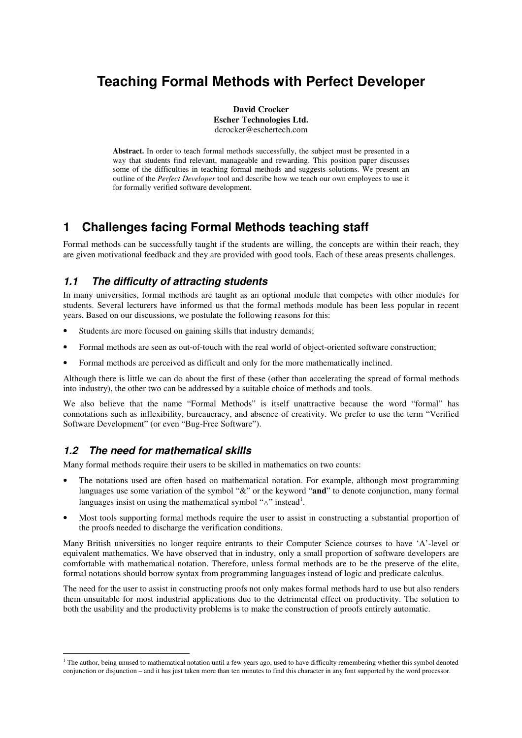# **Teaching Formal Methods with Perfect Developer**

**David Crocker Escher Technologies Ltd.** dcrocker@eschertech.com

Abstract. In order to teach formal methods successfully, the subject must be presented in a way that students find relevant, manageable and rewarding. This position paper discusses some of the difficulties in teaching formal methods and suggests solutions. We present an outline of the *Perfect Developer* tool and describe how we teach our own employees to use it for formally verified software development.

# **1 Challenges facing Formal Methods teaching staff**

Formal methods can be successfully taught if the students are willing, the concepts are within their reach, they are given motivational feedback and they are provided with good tools. Each of these areas presents challenges.

#### *1.1 The difficulty of attracting students*

In many universities, formal methods are taught as an optional module that competes with other modules for students. Several lecturers have informed us that the formal methods module has been less popular in recent years. Based on our discussions, we postulate the following reasons for this:

- Students are more focused on gaining skills that industry demands;
- Formal methods are seen as out-of-touch with the real world of object-oriented software construction;
- Formal methods are perceived as difficult and only for the more mathematically inclined.

Although there is little we can do about the first of these (other than accelerating the spread of formal methods into industry), the other two can be addressed by a suitable choice of methods and tools.

We also believe that the name "Formal Methods" is itself unattractive because the word "formal" has connotations such as inflexibility, bureaucracy, and absence of creativity. We prefer to use the term "Verified Software Development" (or even "Bug-Free Software").

#### *1.2 The need for mathematical skills*

Many formal methods require their users to be skilled in mathematics on two counts:

- The notations used are often based on mathematical notation. For example, although most programming languages use some variation of the symbol "&" or the keyword "**and**" to denote conjunction, many formal languages insist on using the mathematical symbol " $\wedge$ " instead<sup>1</sup>.
- Most tools supporting formal methods require the user to assist in constructing a substantial proportion of the proofs needed to discharge the verification conditions.

Many British universities no longer require entrants to their Computer Science courses to have 'A'-level or equivalent mathematics. We have observed that in industry, only a small proportion of software developers are comfortable with mathematical notation. Therefore, unless formal methods are to be the preserve of the elite, formal notations should borrow syntax from programming languages instead of logic and predicate calculus.

The need for the user to assist in constructing proofs not only makes formal methods hard to use but also renders them unsuitable for most industrial applications due to the detrimental effect on productivity. The solution to both the usability and the productivity problems is to make the construction of proofs entirely automatic.

 $1$  The author, being unused to mathematical notation until a few years ago, used to have difficulty remembering whether this symbol denoted conjunction or disjunction – and it has just taken more than ten minutes to find this character in any font supported by the word processor.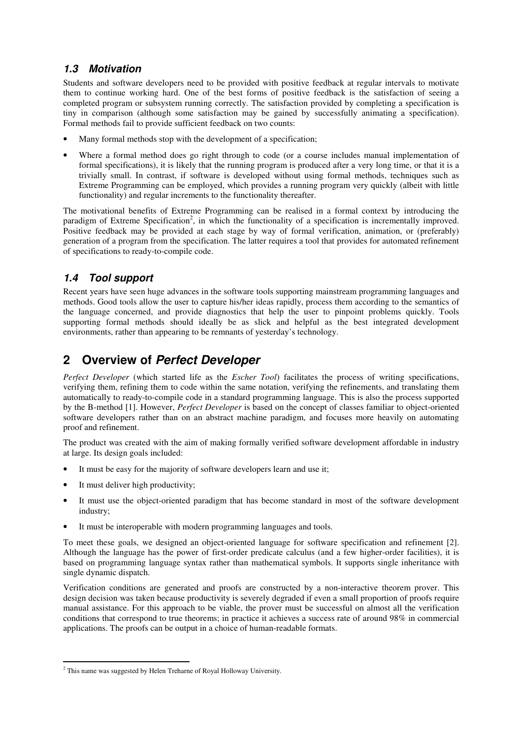#### *1.3 Motivation*

Students and software developers need to be provided with positive feedback at regular intervals to motivate them to continue working hard. One of the best forms of positive feedback is the satisfaction of seeing a completed program or subsystem running correctly. The satisfaction provided by completing a specification is tiny in comparison (although some satisfaction may be gained by successfully animating a specification). Formal methods fail to provide sufficient feedback on two counts:

- Many formal methods stop with the development of a specification;
- Where a formal method does go right through to code (or a course includes manual implementation of formal specifications), it is likely that the running program is produced after a very long time, or that it is a trivially small. In contrast, if software is developed without using formal methods, techniques such as Extreme Programming can be employed, which provides a running program very quickly (albeit with little functionality) and regular increments to the functionality thereafter.

The motivational benefits of Extreme Programming can be realised in a formal context by introducing the paradigm of Extreme Specification<sup>2</sup>, in which the functionality of a specification is incrementally improved. Positive feedback may be provided at each stage by way of formal verification, animation, or (preferably) generation of a program from the specification. The latter requires a tool that provides for automated refinement of specifications to ready-to-compile code.

#### *1.4 Tool support*

Recent years have seen huge advances in the software tools supporting mainstream programming languages and methods. Good tools allow the user to capture his/her ideas rapidly, process them according to the semantics of the language concerned, and provide diagnostics that help the user to pinpoint problems quickly. Tools supporting formal methods should ideally be as slick and helpful as the best integrated development environments, rather than appearing to be remnants of yesterday's technology.

# **2 Overview of** *Perfect Developer*

*Perfect Developer* (which started life as the *Escher Tool*) facilitates the process of writing specifications, verifying them, refining them to code within the same notation, verifying the refinements, and translating them automatically to ready-to-compile code in a standard programming language. This is also the process supported by the B-method [1]. However, *Perfect Developer* is based on the concept of classes familiar to object-oriented software developers rather than on an abstract machine paradigm, and focuses more heavily on automating proof and refinement.

The product was created with the aim of making formally verified software development affordable in industry at large. Its design goals included:

- It must be easy for the majority of software developers learn and use it;
- It must deliver high productivity:
- It must use the object-oriented paradigm that has become standard in most of the software development industry;
- It must be interoperable with modern programming languages and tools.

To meet these goals, we designed an object-oriented language for software specification and refinement [2]. Although the language has the power of first-order predicate calculus (and a few higher-order facilities), it is based on programming language syntax rather than mathematical symbols. It supports single inheritance with single dynamic dispatch.

Verification conditions are generated and proofs are constructed by a non-interactive theorem prover. This design decision was taken because productivity is severely degraded if even a small proportion of proofs require manual assistance. For this approach to be viable, the prover must be successful on almost all the verification conditions that correspond to true theorems; in practice it achieves a success rate of around 98% in commercial applications. The proofs can be output in a choice of human-readable formats.

<sup>&</sup>lt;sup>2</sup> This name was suggested by Helen Treharne of Royal Holloway University.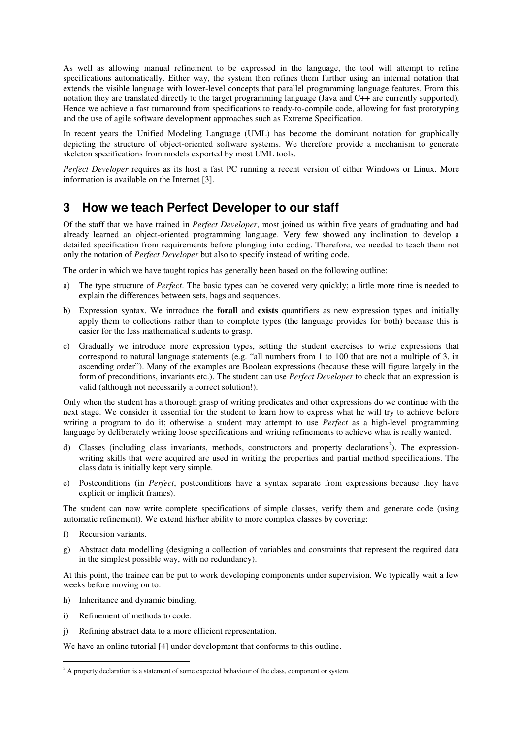As well as allowing manual refinement to be expressed in the language, the tool will attempt to refine specifications automatically. Either way, the system then refines them further using an internal notation that extends the visible language with lower-level concepts that parallel programming language features. From this notation they are translated directly to the target programming language (Java and C++ are currently supported). Hence we achieve a fast turnaround from specifications to ready-to-compile code, allowing for fast prototyping and the use of agile software development approaches such as Extreme Specification.

In recent years the Unified Modeling Language (UML) has become the dominant notation for graphically depicting the structure of object-oriented software systems. We therefore provide a mechanism to generate skeleton specifications from models exported by most UML tools.

*Perfect Developer* requires as its host a fast PC running a recent version of either Windows or Linux. More information is available on the Internet [3].

#### **3 How we teach Perfect Developer to our staff**

Of the staff that we have trained in *Perfect Developer*, most joined us within five years of graduating and had already learned an object-oriented programming language. Very few showed any inclination to develop a detailed specification from requirements before plunging into coding. Therefore, we needed to teach them not only the notation of *Perfect Developer* but also to specify instead of writing code.

The order in which we have taught topics has generally been based on the following outline:

- a) The type structure of *Perfect*. The basic types can be covered very quickly; a little more time is needed to explain the differences between sets, bags and sequences.
- b) Expression syntax. We introduce the **forall** and **exists** quantifiers as new expression types and initially apply them to collections rather than to complete types (the language provides for both) because this is easier for the less mathematical students to grasp.
- c) Gradually we introduce more expression types, setting the student exercises to write expressions that correspond to natural language statements (e.g. "all numbers from 1 to 100 that are not a multiple of 3, in ascending order"). Many of the examples are Boolean expressions (because these will figure largely in the form of preconditions, invariants etc.). The student can use *Perfect Developer* to check that an expression is valid (although not necessarily a correct solution!).

Only when the student has a thorough grasp of writing predicates and other expressions do we continue with the next stage. We consider it essential for the student to learn how to express what he will try to achieve before writing a program to do it; otherwise a student may attempt to use *Perfect* as a high-level programming language by deliberately writing loose specifications and writing refinements to achieve what is really wanted.

- d) Classes (including class invariants, methods, constructors and property declarations<sup>3</sup>). The expressionwriting skills that were acquired are used in writing the properties and partial method specifications. The class data is initially kept very simple.
- e) Postconditions (in *Perfect*, postconditions have a syntax separate from expressions because they have explicit or implicit frames).

The student can now write complete specifications of simple classes, verify them and generate code (using automatic refinement). We extend his/her ability to more complex classes by covering:

- f) Recursion variants.
- g) Abstract data modelling (designing a collection of variables and constraints that represent the required data in the simplest possible way, with no redundancy).

At this point, the trainee can be put to work developing components under supervision. We typically wait a few weeks before moving on to:

- h) Inheritance and dynamic binding.
- i) Refinement of methods to code.
- j) Refining abstract data to a more efficient representation.

We have an online tutorial [4] under development that conforms to this outline.

<sup>&</sup>lt;sup>3</sup> A property declaration is a statement of some expected behaviour of the class, component or system.